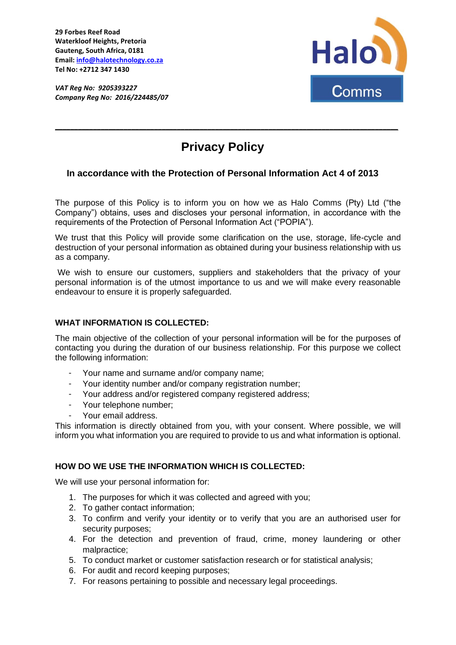**29 Forbes Reef Road Waterkloof Heights, Pretoria Gauteng, South Africa, 0181 Email: [info@halotechnology.co.za](mailto:info@halotechnology.co.za) Tel No: +2712 347 1430**

*VAT Reg No: 9205393227 Company Reg No: 2016/224485/07* 



# **Privacy Policy**

**\_\_\_\_\_\_\_\_\_\_\_\_\_\_\_\_\_\_\_\_\_\_\_\_\_\_\_\_\_\_\_\_\_\_\_\_\_\_\_\_\_\_\_\_\_\_\_\_\_\_\_\_\_\_\_\_\_\_\_\_\_\_\_\_\_\_\_\_\_\_\_\_\_\_\_\_\_\_\_\_\_\_\_\_\_\_\_\_\_\_**

# **In accordance with the Protection of Personal Information Act 4 of 2013**

The purpose of this Policy is to inform you on how we as Halo Comms (Pty) Ltd ("the Company") obtains, uses and discloses your personal information, in accordance with the requirements of the Protection of Personal Information Act ("POPIA").

We trust that this Policy will provide some clarification on the use, storage, life-cycle and destruction of your personal information as obtained during your business relationship with us as a company.

We wish to ensure our customers, suppliers and stakeholders that the privacy of your personal information is of the utmost importance to us and we will make every reasonable endeavour to ensure it is properly safeguarded.

# **WHAT INFORMATION IS COLLECTED:**

The main objective of the collection of your personal information will be for the purposes of contacting you during the duration of our business relationship. For this purpose we collect the following information:

- Your name and surname and/or company name;
- Your identity number and/or company registration number;
- Your address and/or registered company registered address;
- Your telephone number;
- Your email address.

This information is directly obtained from you, with your consent. Where possible, we will inform you what information you are required to provide to us and what information is optional.

#### **HOW DO WE USE THE INFORMATION WHICH IS COLLECTED:**

We will use your personal information for:

- 1. The purposes for which it was collected and agreed with you;
- 2. To gather contact information;
- 3. To confirm and verify your identity or to verify that you are an authorised user for security purposes;
- 4. For the detection and prevention of fraud, crime, money laundering or other malpractice;
- 5. To conduct market or customer satisfaction research or for statistical analysis;
- 6. For audit and record keeping purposes;
- 7. For reasons pertaining to possible and necessary legal proceedings.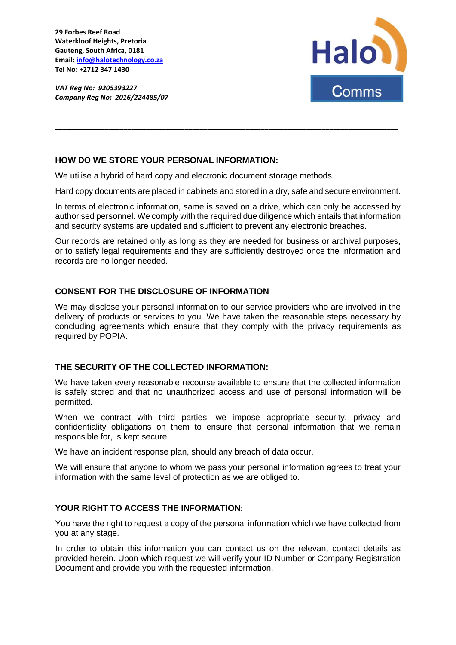**29 Forbes Reef Road Waterkloof Heights, Pretoria Gauteng, South Africa, 0181 Email: [info@halotechnology.co.za](mailto:info@halotechnology.co.za) Tel No: +2712 347 1430**

*VAT Reg No: 9205393227 Company Reg No: 2016/224485/07* 



# **HOW DO WE STORE YOUR PERSONAL INFORMATION:**

We utilise a hybrid of hard copy and electronic document storage methods.

Hard copy documents are placed in cabinets and stored in a dry, safe and secure environment.

**\_\_\_\_\_\_\_\_\_\_\_\_\_\_\_\_\_\_\_\_\_\_\_\_\_\_\_\_\_\_\_\_\_\_\_\_\_\_\_\_\_\_\_\_\_\_\_\_\_\_\_\_\_\_\_\_\_\_\_\_\_\_\_\_\_\_\_\_\_\_\_\_\_\_\_\_\_\_\_\_\_\_\_\_\_\_\_\_\_\_**

In terms of electronic information, same is saved on a drive, which can only be accessed by authorised personnel. We comply with the required due diligence which entails that information and security systems are updated and sufficient to prevent any electronic breaches.

Our records are retained only as long as they are needed for business or archival purposes, or to satisfy legal requirements and they are sufficiently destroyed once the information and records are no longer needed.

# **CONSENT FOR THE DISCLOSURE OF INFORMATION**

We may disclose your personal information to our service providers who are involved in the delivery of products or services to you. We have taken the reasonable steps necessary by concluding agreements which ensure that they comply with the privacy requirements as required by POPIA.

### **THE SECURITY OF THE COLLECTED INFORMATION:**

We have taken every reasonable recourse available to ensure that the collected information is safely stored and that no unauthorized access and use of personal information will be permitted.

When we contract with third parties, we impose appropriate security, privacy and confidentiality obligations on them to ensure that personal information that we remain responsible for, is kept secure.

We have an incident response plan, should any breach of data occur.

We will ensure that anyone to whom we pass your personal information agrees to treat your information with the same level of protection as we are obliged to.

# **YOUR RIGHT TO ACCESS THE INFORMATION:**

You have the right to request a copy of the personal information which we have collected from you at any stage.

In order to obtain this information you can contact us on the relevant contact details as provided herein. Upon which request we will verify your ID Number or Company Registration Document and provide you with the requested information.